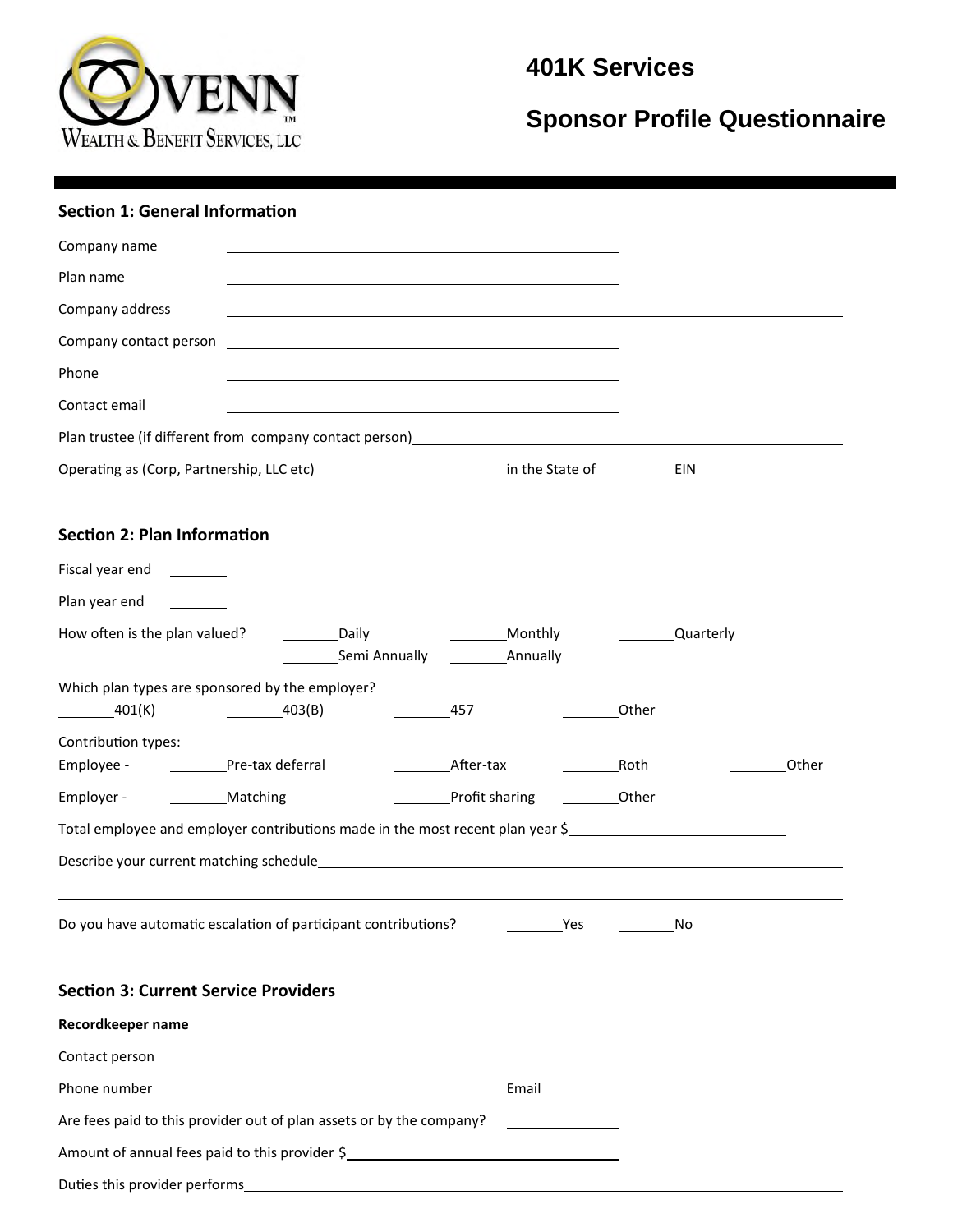

# **401K Services**

# **Sponsor Profile Questionnaire**

#### **Section 1: General Information**

| Company name                       |  |  |
|------------------------------------|--|--|
| Plan name                          |  |  |
| Company address                    |  |  |
|                                    |  |  |
| Phone                              |  |  |
| Contact email                      |  |  |
|                                    |  |  |
|                                    |  |  |
|                                    |  |  |
|                                    |  |  |
| <b>Section 2: Plan Information</b> |  |  |
| Fiscal year end<br>_________       |  |  |
| Plan year end                      |  |  |

Which plan types are sponsored by the employer? 401(K) 403(B) 457 Other

Contribution types:

| Employee - | Pre-tax deferral | After-tax      | Roth  | Other |
|------------|------------------|----------------|-------|-------|
| Employer - | <b>Matching</b>  | Profit sharing | Other |       |

| Total employee and employer contributions made in the most recent plan year \$ |  |
|--------------------------------------------------------------------------------|--|
| Describe your current matching schedule                                        |  |

Do you have automatic escalation of participant contributions? The Mesang Mondon Mondon Mondon Mondon Mondon Mo

|  |  | <b>Section 3: Current Service Providers</b> |
|--|--|---------------------------------------------|

| Recordkeeper name                                                    |       |
|----------------------------------------------------------------------|-------|
| Contact person                                                       |       |
| Phone number                                                         | Email |
| Are fees paid to this provider out of plan assets or by the company? |       |
| Amount of annual fees paid to this provider \$                       |       |
| Duties this provider performs                                        |       |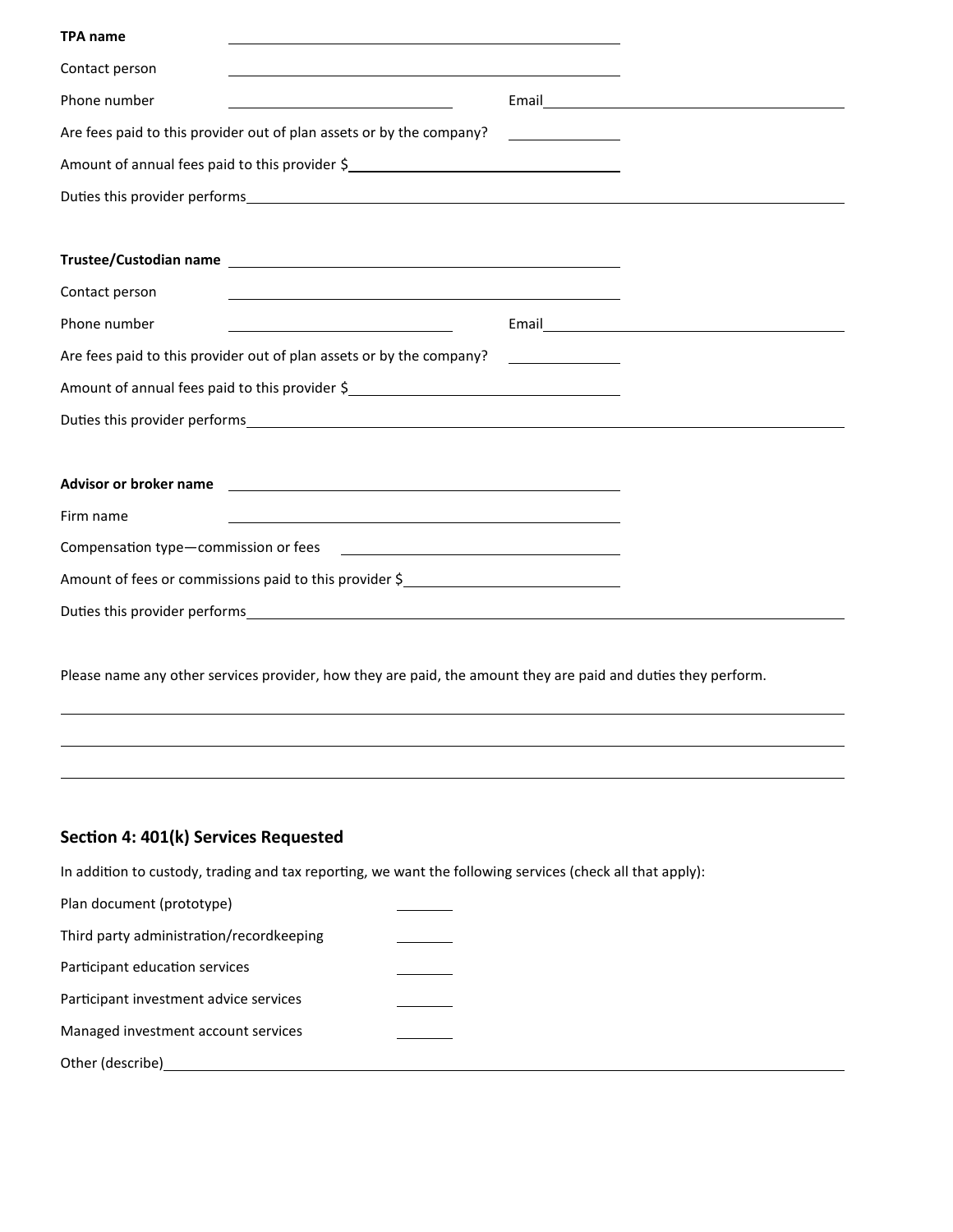| <b>TPA name</b>                                                                                                                                                                                                                                 |                                     |  |
|-------------------------------------------------------------------------------------------------------------------------------------------------------------------------------------------------------------------------------------------------|-------------------------------------|--|
| Contact person                                                                                                                                                                                                                                  |                                     |  |
| Phone number                                                                                                                                                                                                                                    |                                     |  |
| Are fees paid to this provider out of plan assets or by the company?                                                                                                                                                                            |                                     |  |
| Amount of annual fees paid to this provider \$                                                                                                                                                                                                  |                                     |  |
|                                                                                                                                                                                                                                                 |                                     |  |
|                                                                                                                                                                                                                                                 |                                     |  |
| Contact person<br>the control of the control of the control of the control of the control of the control of the control of the control of the control of the control of the control of the control of the control of the control of the control |                                     |  |
| Phone number                                                                                                                                                                                                                                    |                                     |  |
| Are fees paid to this provider out of plan assets or by the company?                                                                                                                                                                            | <u> 1990 - Jan Barbara Barat, p</u> |  |
| Amount of annual fees paid to this provider \$                                                                                                                                                                                                  |                                     |  |
|                                                                                                                                                                                                                                                 |                                     |  |
|                                                                                                                                                                                                                                                 |                                     |  |
| Firm name                                                                                                                                                                                                                                       |                                     |  |
|                                                                                                                                                                                                                                                 |                                     |  |
| Amount of fees or commissions paid to this provider \$                                                                                                                                                                                          |                                     |  |
| Duties this provider performs and the contract of the contract of the contract of the contract of the contract of the contract of the contract of the contract of the contract of the contract of the contract of the contract                  |                                     |  |

Please name any other services provider, how they are paid, the amount they are paid and duties they perform.

#### **Secon 4: 401(k) Services Requested**

In addition to custody, trading and tax reporting, we want the following services (check all that apply):

Plan document (prototype) Third party administration/recordkeeping Participant education services Participant investment advice services Managed investment account services Other (describe)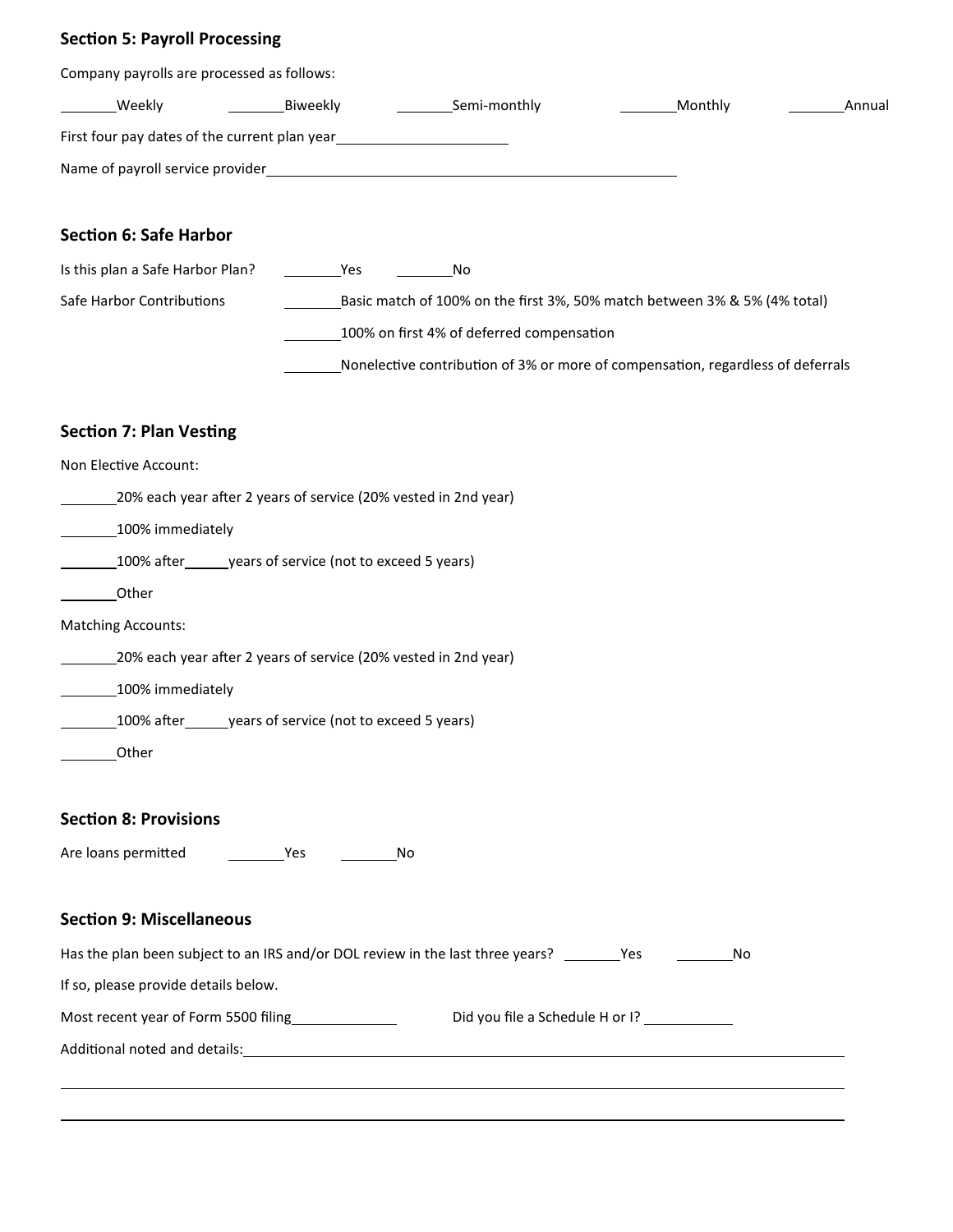### **Section 5: Payroll Processing**

| Company payrolls are processed as follows:                                                            |      |                                                                                 |         |    |        |
|-------------------------------------------------------------------------------------------------------|------|---------------------------------------------------------------------------------|---------|----|--------|
| __________Weekly                                                                                      |      |                                                                                 | Monthly |    | Annual |
| First four pay dates of the current plan year<br><u>First four pay dates of the current plan year</u> |      |                                                                                 |         |    |        |
|                                                                                                       |      |                                                                                 |         |    |        |
|                                                                                                       |      |                                                                                 |         |    |        |
| <b>Section 6: Safe Harbor</b>                                                                         |      |                                                                                 |         |    |        |
| Is this plan a Safe Harbor Plan?                                                                      | Yes  | No                                                                              |         |    |        |
| Safe Harbor Contributions                                                                             |      | Basic match of 100% on the first 3%, 50% match between 3% & 5% (4% total)       |         |    |        |
|                                                                                                       |      | 100% on first 4% of deferred compensation                                       |         |    |        |
|                                                                                                       |      | Nonelective contribution of 3% or more of compensation, regardless of deferrals |         |    |        |
| <b>Section 7: Plan Vesting</b>                                                                        |      |                                                                                 |         |    |        |
| Non Elective Account:                                                                                 |      |                                                                                 |         |    |        |
| 20% each year after 2 years of service (20% vested in 2nd year)                                       |      |                                                                                 |         |    |        |
| 100% immediately                                                                                      |      |                                                                                 |         |    |        |
| 100% after ________ years of service (not to exceed 5 years)                                          |      |                                                                                 |         |    |        |
| Other                                                                                                 |      |                                                                                 |         |    |        |
| <b>Matching Accounts:</b>                                                                             |      |                                                                                 |         |    |        |
| 20% each year after 2 years of service (20% vested in 2nd year)                                       |      |                                                                                 |         |    |        |
| 100% immediately                                                                                      |      |                                                                                 |         |    |        |
| 100% after years of service (not to exceed 5 years)                                                   |      |                                                                                 |         |    |        |
| Other                                                                                                 |      |                                                                                 |         |    |        |
| <b>Section 8: Provisions</b>                                                                          |      |                                                                                 |         |    |        |
|                                                                                                       | a Mo |                                                                                 |         |    |        |
| <b>Section 9: Miscellaneous</b>                                                                       |      |                                                                                 |         |    |        |
| Has the plan been subject to an IRS and/or DOL review in the last three years? _________Yes           |      |                                                                                 |         | No |        |
| If so, please provide details below.                                                                  |      |                                                                                 |         |    |        |
| Most recent year of Form 5500 filing entitled a Schedule H or I?                                      |      |                                                                                 |         |    |        |
|                                                                                                       |      |                                                                                 |         |    |        |
|                                                                                                       |      |                                                                                 |         |    |        |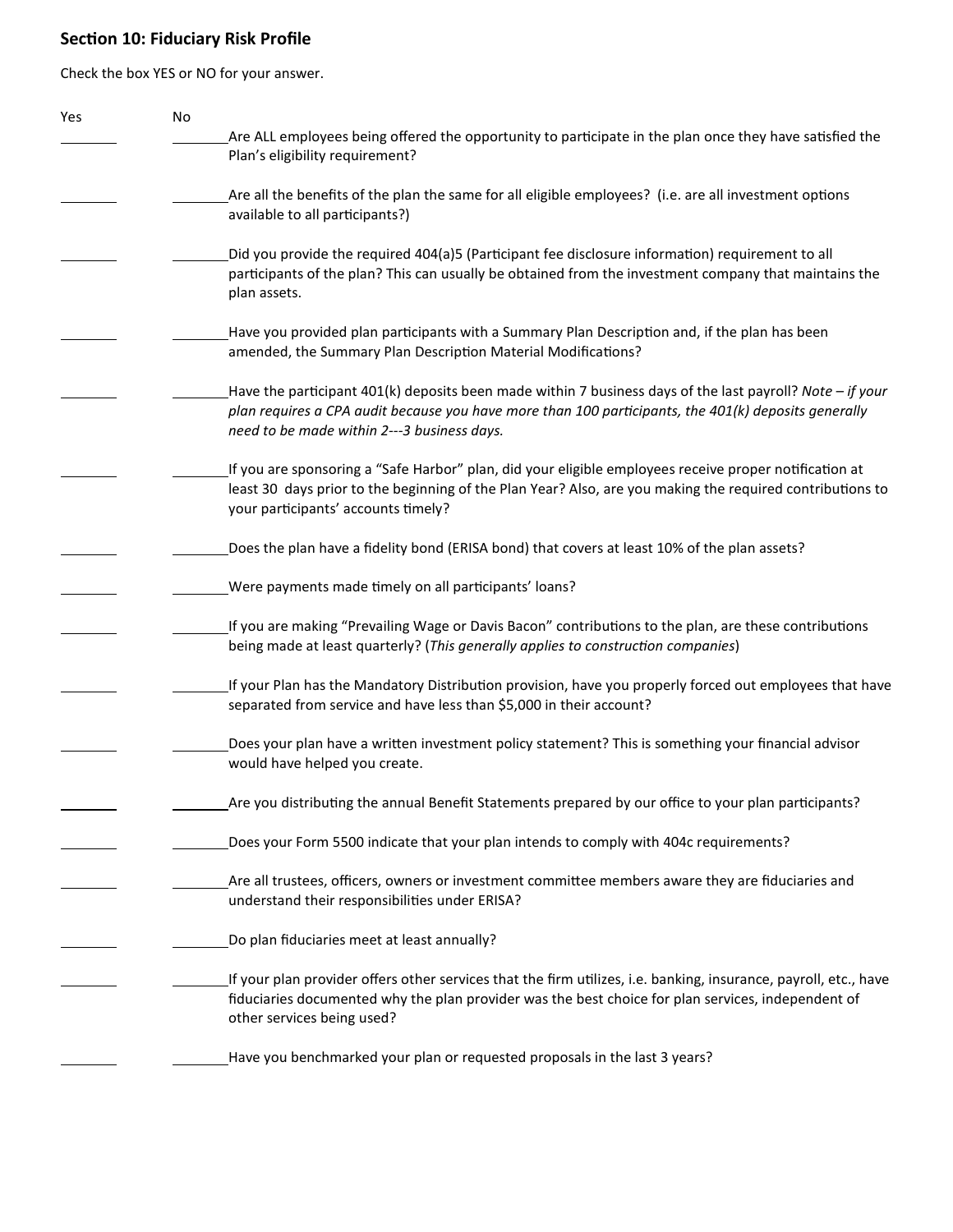### **Secon 10: Fiduciary Risk Profile**

Check the box YES or NO for your answer.

| Yes | No |                                                                                                                                                                                                                        |
|-----|----|------------------------------------------------------------------------------------------------------------------------------------------------------------------------------------------------------------------------|
|     |    | Are ALL employees being offered the opportunity to participate in the plan once they have satisfied the                                                                                                                |
|     |    | Plan's eligibility requirement?                                                                                                                                                                                        |
|     |    |                                                                                                                                                                                                                        |
|     |    | Are all the benefits of the plan the same for all eligible employees? (i.e. are all investment options<br>available to all participants?)                                                                              |
|     |    |                                                                                                                                                                                                                        |
|     |    | Did you provide the required 404(a)5 (Participant fee disclosure information) requirement to all                                                                                                                       |
|     |    | participants of the plan? This can usually be obtained from the investment company that maintains the                                                                                                                  |
|     |    | plan assets.                                                                                                                                                                                                           |
|     |    |                                                                                                                                                                                                                        |
|     |    | Have you provided plan participants with a Summary Plan Description and, if the plan has been                                                                                                                          |
|     |    | amended, the Summary Plan Description Material Modifications?                                                                                                                                                          |
|     |    | Have the participant 401(k) deposits been made within 7 business days of the last payroll? Note - if your                                                                                                              |
|     |    | plan requires a CPA audit because you have more than 100 participants, the 401(k) deposits generally                                                                                                                   |
|     |    | need to be made within 2---3 business days.                                                                                                                                                                            |
|     |    |                                                                                                                                                                                                                        |
|     |    | If you are sponsoring a "Safe Harbor" plan, did your eligible employees receive proper notification at                                                                                                                 |
|     |    | least 30 days prior to the beginning of the Plan Year? Also, are you making the required contributions to                                                                                                              |
|     |    | your participants' accounts timely?                                                                                                                                                                                    |
|     |    | Does the plan have a fidelity bond (ERISA bond) that covers at least 10% of the plan assets?                                                                                                                           |
|     |    |                                                                                                                                                                                                                        |
|     |    | Were payments made timely on all participants' loans?                                                                                                                                                                  |
|     |    |                                                                                                                                                                                                                        |
|     |    | If you are making "Prevailing Wage or Davis Bacon" contributions to the plan, are these contributions                                                                                                                  |
|     |    | being made at least quarterly? (This generally applies to construction companies)                                                                                                                                      |
|     |    | If your Plan has the Mandatory Distribution provision, have you properly forced out employees that have                                                                                                                |
|     |    | separated from service and have less than \$5,000 in their account?                                                                                                                                                    |
|     |    |                                                                                                                                                                                                                        |
|     |    | Does your plan have a written investment policy statement? This is something your financial advisor                                                                                                                    |
|     |    | would have helped you create.                                                                                                                                                                                          |
|     |    |                                                                                                                                                                                                                        |
|     |    | Are you distributing the annual Benefit Statements prepared by our office to your plan participants?                                                                                                                   |
|     |    | Does your Form 5500 indicate that your plan intends to comply with 404c requirements?                                                                                                                                  |
|     |    |                                                                                                                                                                                                                        |
|     |    | Are all trustees, officers, owners or investment committee members aware they are fiduciaries and                                                                                                                      |
|     |    | understand their responsibilities under ERISA?                                                                                                                                                                         |
|     |    |                                                                                                                                                                                                                        |
|     |    | Do plan fiduciaries meet at least annually?                                                                                                                                                                            |
|     |    |                                                                                                                                                                                                                        |
|     |    | If your plan provider offers other services that the firm utilizes, i.e. banking, insurance, payroll, etc., have<br>fiduciaries documented why the plan provider was the best choice for plan services, independent of |
|     |    | other services being used?                                                                                                                                                                                             |
|     |    |                                                                                                                                                                                                                        |
|     |    | Have you benchmarked your plan or requested proposals in the last 3 years?                                                                                                                                             |